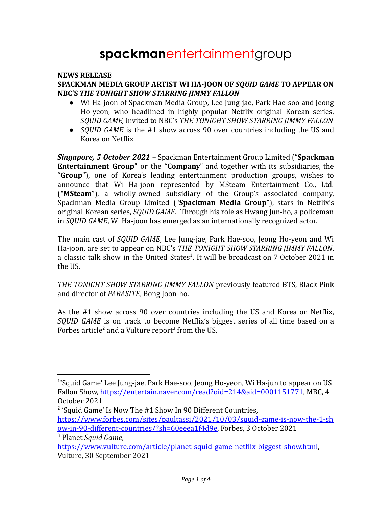# **spackman**entertainmentgroup

#### **NEWS RELEASE**

#### **SPACKMAN MEDIA GROUP ARTIST WI HA-JOON OF** *SQUID GAME* **TO APPEAR ON NBC'S** *THE TONIGHT SHOW STARRING JIMMY FALLON*

- *●* Wi Ha-joon of Spackman Media Group, Lee Jung-jae, Park Hae-soo and Jeong Ho-yeon, who headlined in highly popular Netflix original Korean series, *SQUID GAME,* invited to NBC's *THE TONIGHT SHOW STARRING JIMMY FALLON*
- *● SQUID GAME* is the #1 show across 90 over countries including the US and Korea on Netflix

*Singapore, 5 October 2021* – Spackman Entertainment Group Limited ("**Spackman Entertainment Group**" or the "**Company**" and together with its subsidiaries, the "**Group**"), one of Korea's leading entertainment production groups, wishes to announce that Wi Ha-joon represented by MSteam Entertainment Co., Ltd. ("**MSteam**"), a wholly-owned subsidiary of the Group's associated company, Spackman Media Group Limited ("**Spackman Media Group**"), stars in Netflix's original Korean series, *SQUID GAME*. Through his role as Hwang Jun-ho, a policeman in *SQUID GAME*, Wi Ha-joon has emerged as an internationally recognized actor.

The main cast of *SQUID GAME*, Lee Jung-jae, Park Hae-soo, Jeong Ho-yeon and Wi Ha-joon, are set to appear on NBC's *THE TONIGHT SHOW STARRING JIMMY FALLON*, a classic talk show in the United States<sup>1</sup>. It will be broadcast on 7 October 2021 in the US.

*THE TONIGHT SHOW STARRING JIMMY FALLON* previously featured BTS, Black Pink and director of *PARASITE*, Bong Joon-ho.

As the #1 show across 90 over countries including the US and Korea on Netflix, *SQUID GAME* is on track to become Netflix's biggest series of all time based on a Forbes article<sup>2</sup> and a Vulture report<sup>3</sup> from the US.

<sup>&</sup>lt;sup>1</sup>'Squid Game' Lee Jung-jae, Park Hae-soo, Jeong Ho-yeon, Wi Ha-jun to appear on US Fallon Show, [https://entertain.naver.com/read?oid=214&aid=0001151771,](https://entertain.naver.com/read?oid=214&aid=0001151771) MBC, 4 October 2021

 $2$  'Squid Game' Is Now The #1 Show In 90 Different Countries,

[https://www.forbes.com/sites/paultassi/2021/10/03/squid-game-is-now-the-1-sh](https://www.forbes.com/sites/paultassi/2021/10/03/squid-game-is-now-the-1-show-in-90-different-countries/?sh=60eeea1f4d9e) [ow-in-90-different-countries/?sh=60eeea1f4d9e,](https://www.forbes.com/sites/paultassi/2021/10/03/squid-game-is-now-the-1-show-in-90-different-countries/?sh=60eeea1f4d9e) Forbes, 3 October 2021

<sup>3</sup> Planet *Squid Game*,

[https://www.vulture.com/article/planet-squid-game-netflix-biggest-show.html,](https://www.vulture.com/article/planet-squid-game-netflix-biggest-show.html) Vulture, 30 September 2021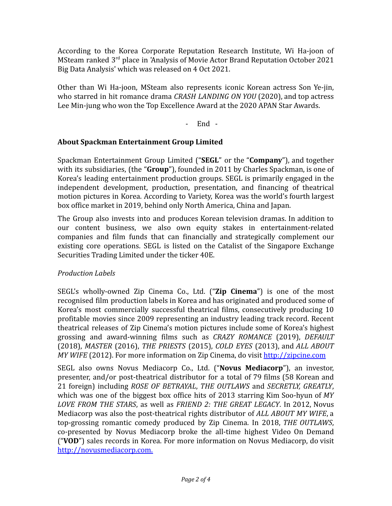According to the Korea Corporate Reputation Research Institute, Wi Ha-joon of MSteam ranked 3<sup>rd</sup> place in 'Analysis of Movie Actor Brand Reputation October 2021 Big Data Analysis' which was released on 4 Oct 2021.

Other than Wi Ha-joon, MSteam also represents iconic Korean actress Son Ye-jin, who starred in hit romance drama *CRASH LANDING ON YOU* (2020), and top actress Lee Min-jung who won the Top Excellence Award at the 2020 APAN Star Awards.

- End -

### **About Spackman Entertainment Group Limited**

Spackman Entertainment Group Limited ("**SEGL**" or the "**Company**"), and together with its subsidiaries, (the "**Group**"), founded in 2011 by Charles Spackman, is one of Korea's leading entertainment production groups. SEGL is primarily engaged in the independent development, production, presentation, and financing of theatrical motion pictures in Korea. According to Variety, Korea was the world's fourth largest box office market in 2019, behind only North America, China and Japan.

The Group also invests into and produces Korean television dramas. In addition to our content business, we also own equity stakes in entertainment-related companies and film funds that can financially and strategically complement our existing core operations. SEGL is listed on the Catalist of the Singapore Exchange Securities Trading Limited under the ticker 40E.

#### *Production Labels*

SEGL's wholly-owned Zip Cinema Co., Ltd. ("**Zip Cinema**") is one of the most recognised film production labels in Korea and has originated and produced some of Korea's most commercially successful theatrical films, consecutively producing 10 profitable movies since 2009 representing an industry leading track record. Recent theatrical releases of Zip Cinema's motion pictures include some of Korea's highest grossing and award-winning films such as *CRAZY ROMANCE* (2019), *DEFAULT* (2018), *MASTER* (2016), *THE PRIESTS* (2015), *COLD EYES* (2013), and *ALL ABOUT MY WIFE* (2012). For more information on Zip Cinema, do visit <http://zipcine.com>

SEGL also owns Novus Mediacorp Co., Ltd. ("**Novus Mediacorp**"), an investor, presenter, and/or post-theatrical distributor for a total of 79 films (58 Korean and 21 foreign) including *ROSE OF BETRAYAL*, *THE OUTLAWS* and *SECRETLY, GREATLY*, which was one of the biggest box office hits of 2013 starring Kim Soo-hyun of *MY LOVE FROM THE STARS*, as well as *FRIEND 2: THE GREAT LEGACY*. In 2012, Novus Mediacorp was also the post-theatrical rights distributor of *ALL ABOUT MY WIFE*, a top-grossing romantic comedy produced by Zip Cinema. In 2018, *THE OUTLAWS*, co-presented by Novus Mediacorp broke the all-time highest Video On Demand ("**VOD**") sales records in Korea. For more information on Novus Mediacorp, do visit <http://novusmediacorp.com>.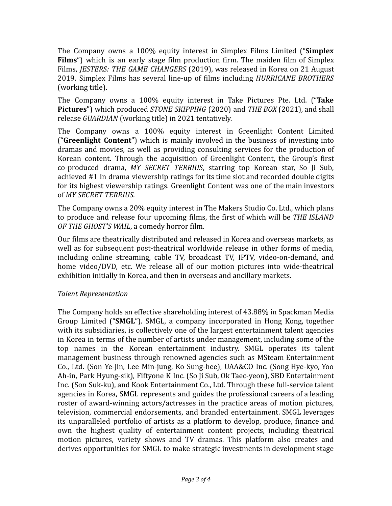The Company owns a 100% equity interest in Simplex Films Limited ("**Simplex Films**") which is an early stage film production firm. The maiden film of Simplex Films, *JESTERS: THE GAME CHANGERS* (2019), was released in Korea on 21 August 2019. Simplex Films has several line-up of films including *HURRICANE BROTHERS* (working title).

The Company owns a 100% equity interest in Take Pictures Pte. Ltd. ("**Take Pictures**") which produced *STONE SKIPPING* (2020) and *THE BOX* (2021), and shall release *GUARDIAN* (working title) in 2021 tentatively.

The Company owns a 100% equity interest in Greenlight Content Limited ("**Greenlight Content**") which is mainly involved in the business of investing into dramas and movies, as well as providing consulting services for the production of Korean content. Through the acquisition of Greenlight Content, the Group's first co-produced drama, *MY SECRET TERRIUS*, starring top Korean star, So Ji Sub, achieved #1 in drama viewership ratings for its time slot and recorded double digits for its highest viewership ratings. Greenlight Content was one of the main investors of *MY SECRET TERRIUS.*

The Company owns a 20% equity interest in The Makers Studio Co. Ltd., which plans to produce and release four upcoming films, the first of which will be *THE ISLAND OF THE GHOST'S WAIL*, a comedy horror film.

Our films are theatrically distributed and released in Korea and overseas markets, as well as for subsequent post-theatrical worldwide release in other forms of media, including online streaming, cable TV, broadcast TV, IPTV, video-on-demand, and home video/DVD, etc. We release all of our motion pictures into wide-theatrical exhibition initially in Korea, and then in overseas and ancillary markets.

## *Talent Representation*

The Company holds an effective shareholding interest of 43.88% in Spackman Media Group Limited ("**SMGL**"). SMGL, a company incorporated in Hong Kong, together with its subsidiaries, is collectively one of the largest entertainment talent agencies in Korea in terms of the number of artists under management, including some of the top names in the Korean entertainment industry. SMGL operates its talent management business through renowned agencies such as MSteam Entertainment Co., Ltd. (Son Ye-jin, Lee Min-jung, Ko Sung-hee), UAA&CO Inc. (Song Hye-kyo, Yoo Ah-in, Park Hyung-sik), Fiftyone K Inc. (So Ji Sub, Ok Taec-yeon), SBD Entertainment Inc. (Son Suk-ku), and Kook Entertainment Co., Ltd. Through these full-service talent agencies in Korea, SMGL represents and guides the professional careers of a leading roster of award-winning actors/actresses in the practice areas of motion pictures, television, commercial endorsements, and branded entertainment. SMGL leverages its unparalleled portfolio of artists as a platform to develop, produce, finance and own the highest quality of entertainment content projects, including theatrical motion pictures, variety shows and TV dramas. This platform also creates and derives opportunities for SMGL to make strategic investments in development stage